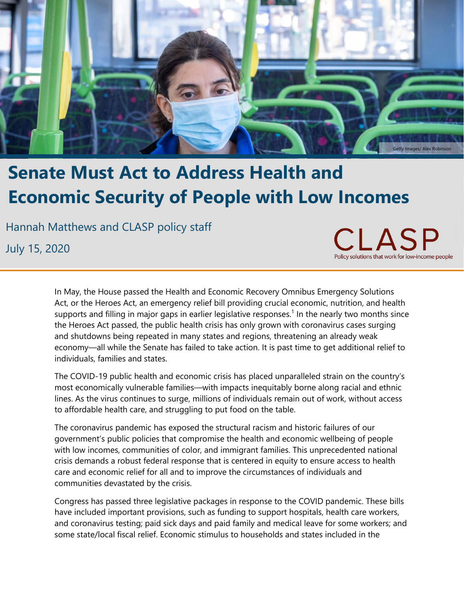

# **Senate Must Act to Address Health and Economic Security of People with Low Incomes**

Hannah Matthews and CLASP policy staff

July 15, 2020

 $\Box$ Policy solutions that work for low-income people

In May, the House passed the Health and Economic Recovery Omnibus Emergency Solutions Act, or the Heroes Act, an emergency relief bill providing crucial economic, nutrition, and health supports and filling in major gaps in earlier legislative responses.<sup>1</sup> In the nearly two months since the Heroes Act passed, the public health crisis has only grown with coronavirus cases surging and shutdowns being repeated in many states and regions, threatening an already weak economy—all while the Senate has failed to take action. It is past time to get additional relief to individuals, families and states.

The COVID-19 public health and economic crisis has placed unparalleled strain on the country's most economically vulnerable families—with impacts inequitably borne along racial and ethnic lines. As the virus continues to surge, millions of individuals remain out of work, without access to affordable health care, and struggling to put food on the table.

The coronavirus pandemic has exposed the structural racism and historic failures of our government's public policies that compromise the health and economic wellbeing of people with low incomes, communities of color, and immigrant families. This unprecedented national crisis demands a robust federal response that is centered in equity to ensure access to health care and economic relief for all and to improve the circumstances of individuals and communities devastated by the crisis.

Congress has passed three legislative packages in response to the COVID pandemic. These bills have included important provisions, such as funding to support hospitals, health care workers, and coronavirus testing; paid sick days and paid family and medical leave for some workers; and some state/local fiscal relief. Economic stimulus to households and states included in the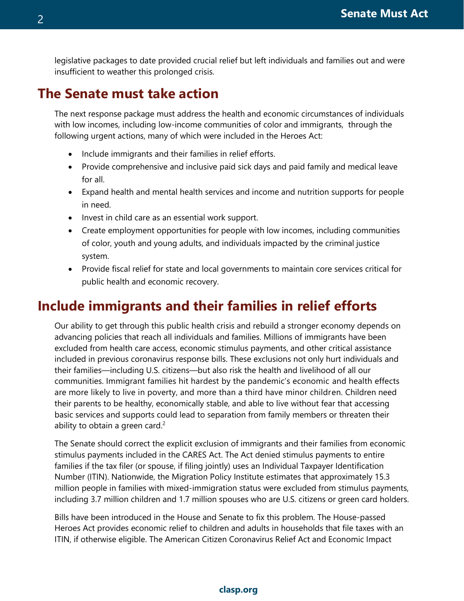legislative packages to date provided crucial relief but left individuals and families out and were insufficient to weather this prolonged crisis.

### **The Senate must take action**

The next response package must address the health and economic circumstances of individuals with low incomes, including low-income communities of color and immigrants, through the following urgent actions, many of which were included in the Heroes Act:

- Include immigrants and their families in relief efforts.
- Provide comprehensive and inclusive paid sick days and paid family and medical leave for all.
- Expand health and mental health services and income and nutrition supports for people in need.
- Invest in child care as an essential work support.
- Create employment opportunities for people with low incomes, including communities of color, youth and young adults, and individuals impacted by the criminal justice system.
- Provide fiscal relief for state and local governments to maintain core services critical for public health and economic recovery.

## **Include immigrants and their families in relief efforts**

Our ability to get through this public health crisis and rebuild a stronger economy depends on advancing policies that reach all individuals and families. Millions of immigrants have been excluded from health care access, economic stimulus payments, and other critical assistance included in previous coronavirus response bills. These exclusions not only hurt individuals and their families—including U.S. citizens—but also risk the health and livelihood of all our communities. Immigrant families hit hardest by the pandemic's economic and health effects are more likely to live in poverty, and more than a third have minor children. Children need their parents to be healthy, economically stable, and able to live without fear that accessing basic services and supports could lead to separation from family members or threaten their ability to obtain a green card. $2^2$ 

The Senate should correct the explicit exclusion of immigrants and their families from economic stimulus payments included in the CARES Act. The Act denied stimulus payments to entire families if the tax filer (or spouse, if filing jointly) uses an Individual Taxpayer Identification Number (ITIN). Nationwide, the Migration Policy Institute estimates that approximately 15.3 million people in families with mixed-immigration status were excluded from stimulus payments, including 3.7 million children and 1.7 million spouses who are U.S. citizens or green card holders.

Bills have been introduced in the House and Senate to fix this problem. The House-passed Heroes Act provides economic relief to children and adults in households that file taxes with an ITIN, if otherwise eligible. The American Citizen Coronavirus Relief Act and Economic Impact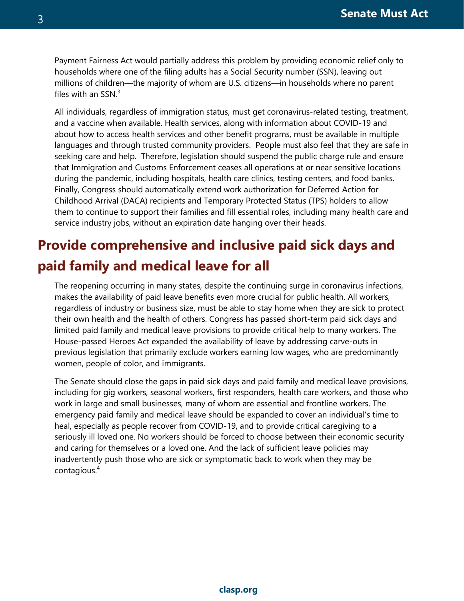Payment Fairness Act would partially address this problem by providing economic relief only to households where one of the filing adults has a Social Security number (SSN), leaving out millions of children—the majority of whom are U.S. citizens—in households where no parent files with an SSN. $^3$ 

All individuals, regardless of immigration status, must get coronavirus-related testing, treatment, and a vaccine when available. Health services, along with information about COVID-19 and about how to access health services and other benefit programs, must be available in multiple languages and through trusted community providers. People must also feel that they are safe in seeking care and help. Therefore, legislation should suspend the public charge rule and ensure that Immigration and Customs Enforcement ceases all operations at or near sensitive locations during the pandemic, including hospitals, health care clinics, testing centers, and food banks. Finally, Congress should automatically extend work authorization for Deferred Action for Childhood Arrival (DACA) recipients and Temporary Protected Status (TPS) holders to allow them to continue to support their families and fill essential roles, including many health care and service industry jobs, without an expiration date hanging over their heads.

## **Provide comprehensive and inclusive paid sick days and paid family and medical leave for all**

The reopening occurring in many states, despite the continuing surge in coronavirus infections, makes the availability of paid leave benefits even more crucial for public health. All workers, regardless of industry or business size, must be able to stay home when they are sick to protect their own health and the health of others. Congress has passed short-term paid sick days and limited paid family and medical leave provisions to provide critical help to many workers. The House-passed Heroes Act expanded the availability of leave by addressing carve-outs in previous legislation that primarily exclude workers earning low wages, who are predominantly women, people of color, and immigrants.

The Senate should close the gaps in paid sick days and paid family and medical leave provisions, including for gig workers, seasonal workers, first responders, health care workers, and those who work in large and small businesses, many of whom are essential and frontline workers. The emergency paid family and medical leave should be expanded to cover an individual's time to heal, especially as people recover from COVID-19, and to provide critical caregiving to a seriously ill loved one. No workers should be forced to choose between their economic security and caring for themselves or a loved one. And the lack of sufficient leave policies may inadvertently push those who are sick or symptomatic back to work when they may be contagious.<sup>4</sup>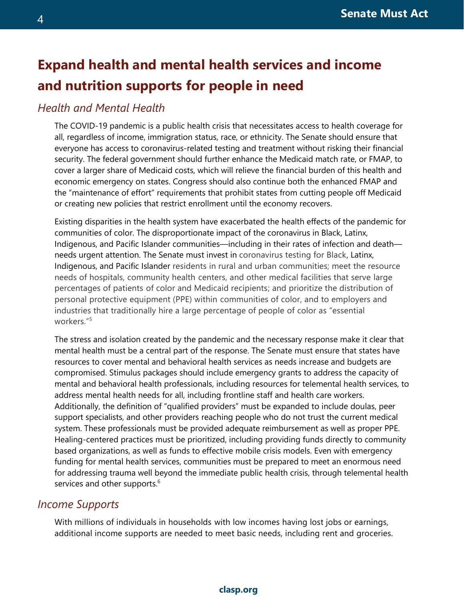## **Expand health and mental health services and income and nutrition supports for people in need**

#### *Health and Mental Health*

The COVID-19 pandemic is a public health crisis that necessitates access to health coverage for all, regardless of income, immigration status, race, or ethnicity. The Senate should ensure that everyone has access to coronavirus-related testing and treatment without risking their financial security. The federal government should further enhance the Medicaid match rate, or FMAP, to cover a larger share of Medicaid costs, which will relieve the financial burden of this health and economic emergency on states. Congress should also continue both the enhanced FMAP and the "maintenance of effort" requirements that prohibit states from cutting people off Medicaid or creating new policies that restrict enrollment until the economy recovers.

Existing disparities in the health system have exacerbated the health effects of the pandemic for communities of color. The disproportionate impact of the coronavirus in Black, Latinx, Indigenous, and Pacific Islander communities—including in their rates of infection and death needs urgent attention. The Senate must invest in coronavirus testing for Black, Latinx, Indigenous, and Pacific Islander residents in rural and urban communities; meet the resource needs of hospitals, community health centers, and other medical facilities that serve large percentages of patients of color and Medicaid recipients; and prioritize the distribution of personal protective equipment (PPE) within communities of color, and to employers and industries that traditionally hire a large percentage of people of color as "essential workers."<sup>5</sup>

The stress and isolation created by the pandemic and the necessary response make it clear that mental health must be a central part of the response. The Senate must ensure that states have resources to cover mental and behavioral health services as needs increase and budgets are compromised. Stimulus packages should include emergency grants to address the capacity of mental and behavioral health professionals, including resources for telemental health services, to address mental health needs for all, including frontline staff and health care workers. Additionally, the definition of "qualified providers" must be expanded to include doulas, peer support specialists, and other providers reaching people who do not trust the current medical system. These professionals must be provided adequate reimbursement as well as proper PPE. Healing-centered practices must be prioritized, including providing funds directly to community based organizations, as well as funds to effective mobile crisis models. Even with emergency funding for mental health services, communities must be prepared to meet an enormous need for addressing trauma well beyond the immediate public health crisis, through telemental health services and other supports.<sup>6</sup>

#### *Income Supports*

With millions of individuals in households with low incomes having lost jobs or earnings, additional income supports are needed to meet basic needs, including rent and groceries.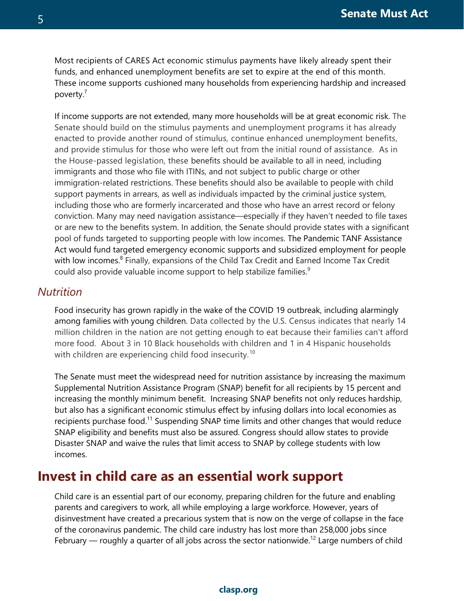Most recipients of CARES Act economic stimulus payments have likely already spent their funds, and enhanced unemployment benefits are set to expire at the end of this month. These income supports cushioned many households from experiencing hardship and increased poverty.<sup>7</sup>

If income supports are not extended, many more households will be at great economic risk. The Senate should build on the stimulus payments and unemployment programs it has already enacted to provide another round of stimulus, continue enhanced unemployment benefits, and provide stimulus for those who were left out from the initial round of assistance. As in the House-passed legislation, these benefits should be available to all in need, including immigrants and those who file with ITINs, and not subject to public charge or other immigration-related restrictions. These benefits should also be available to people with child support payments in arrears, as well as individuals impacted by the criminal justice system, including those who are formerly incarcerated and those who have an arrest record or felony conviction. Many may need navigation assistance—especially if they haven't needed to file taxes or are new to the benefits system. In addition, the Senate should provide states with a significant pool of funds targeted to supporting people with low incomes. The Pandemic TANF Assistance Act would fund targeted emergency economic supports and subsidized employment for people with low incomes.<sup>8</sup> Finally, expansions of the Child Tax Credit and Earned Income Tax Credit could also provide valuable income support to help stabilize families.<sup>9</sup>

#### *Nutrition*

Food insecurity has grown rapidly in the wake of the COVID 19 outbreak, including alarmingly among families with young children. Data collected by the U.S. Census indicates that nearly 14 million children in the nation are not getting enough to eat because their families can't afford more food. About 3 in 10 Black households with children and 1 in 4 Hispanic households with children are experiencing child food insecurity.<sup>10</sup>

The Senate must meet the widespread need for nutrition assistance by increasing the maximum Supplemental Nutrition Assistance Program (SNAP) benefit for all recipients by 15 percent and increasing the monthly minimum benefit. Increasing SNAP benefits not only reduces hardship, but also has a significant economic stimulus effect by infusing dollars into local economies as recipients purchase food.<sup>11</sup> Suspending SNAP time limits and other changes that would reduce SNAP eligibility and benefits must also be assured. Congress should allow states to provide Disaster SNAP and waive the rules that limit access to SNAP by college students with low incomes.

### **Invest in child care as an essential work support**

Child care is an essential part of our economy, preparing children for the future and enabling parents and caregivers to work, all while employing a large workforce. However, years of disinvestment have created a precarious system that is now on the verge of collapse in the face of the coronavirus pandemic. The child care industry has lost more than 258,000 jobs since February  $-$  roughly a quarter of all jobs across the sector nationwide.<sup>12</sup> Large numbers of child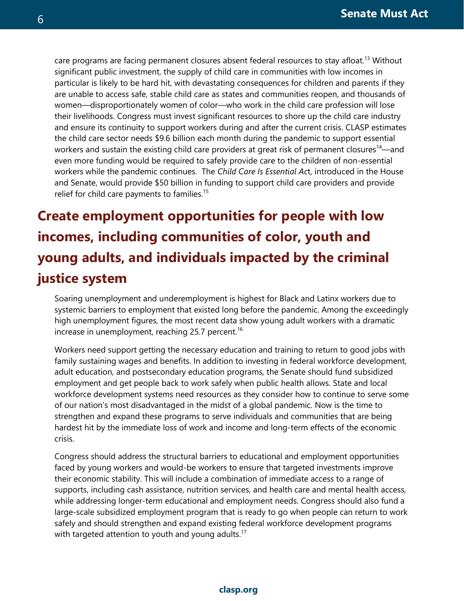care programs are facing permanent closures absent federal resources to stay afloat.<sup>13</sup> Without significant public investment, the supply of child care in communities with low incomes in particular is likely to be hard hit, with devastating consequences for children and parents if they are unable to access safe, stable child care as states and communities reopen, and thousands of women—disproportionately women of color—who work in the child care profession will lose their livelihoods. Congress must invest significant resources to shore up the child care industry and ensure its continuity to support workers during and after the current crisis. CLASP estimates the child care sector needs \$9.6 billion each month during the pandemic to support essential workers and sustain the existing child care providers at great risk of permanent closures<sup>14</sup>—and even more funding would be required to safely provide care to the children of non-essential workers while the pandemic continues. The *Child Care Is Essential Ac*t, introduced in the House and Senate, would provide \$50 billion in funding to support child care providers and provide relief for child care payments to families.<sup>15</sup>

## **Create employment opportunities for people with low incomes, including communities of color, youth and young adults, and individuals impacted by the criminal justice system**

Soaring unemployment and underemployment is highest for Black and Latinx workers due to systemic barriers to employment that existed long before the pandemic. Among the exceedingly high unemployment figures, the most recent data show young adult workers with a dramatic increase in unemployment, reaching  $25.7$  percent.<sup>16</sup>

Workers need support getting the necessary education and training to return to good jobs with family sustaining wages and benefits. In addition to investing in federal workforce development, adult education, and postsecondary education programs, the Senate should fund subsidized employment and get people back to work safely when public health allows. State and local workforce development systems need resources as they consider how to continue to serve some of our nation's most disadvantaged in the midst of a global pandemic. Now is the time to strengthen and expand these programs to serve individuals and communities that are being hardest hit by the immediate loss of work and income and long-term effects of the economic crisis.

Congress should address the structural barriers to educational and employment opportunities faced by young workers and would-be workers to ensure that targeted investments improve their economic stability. This will include a combination of immediate access to a range of supports, including cash assistance, nutrition services, and health care and mental health access, while addressing longer-term educational and employment needs. Congress should also fund a large-scale subsidized employment program that is ready to go when people can return to work safely and should strengthen and expand existing federal workforce development programs with targeted attention to youth and young adults.<sup>17</sup>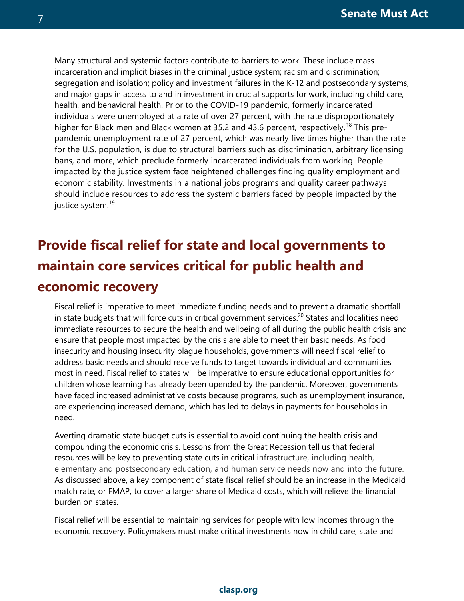Many structural and systemic factors contribute to barriers to work. These include mass incarceration and implicit biases in the criminal justice system; racism and discrimination; segregation and isolation; policy and investment failures in the K-12 and postsecondary systems; and major gaps in access to and in investment in crucial supports for work, including child care, health, and behavioral health. Prior to the COVID-19 pandemic, formerly incarcerated individuals were unemployed at a rate of over 27 percent, with the rate disproportionately higher for Black men and Black women at 35.2 and 43.6 percent, respectively.<sup>18</sup> This prepandemic unemployment rate of 27 percent, which was nearly five times higher than the rate for the U.S. population, is due to structural barriers such as discrimination, arbitrary licensing bans, and more, which preclude formerly incarcerated individuals from working. People impacted by the justice system face heightened challenges finding quality employment and economic stability. Investments in a national jobs programs and quality career pathways should include resources to address the systemic barriers faced by people impacted by the justice system.<sup>19</sup>

## **Provide fiscal relief for state and local governments to maintain core services critical for public health and economic recovery**

Fiscal relief is imperative to meet immediate funding needs and to prevent a dramatic shortfall in state budgets that will force cuts in critical government services.<sup>20</sup> States and localities need immediate resources to secure the health and wellbeing of all during the public health crisis and ensure that people most impacted by the crisis are able to meet their basic needs. As food insecurity and housing insecurity plague households, governments will need fiscal relief to address basic needs and should receive funds to target towards individual and communities most in need. Fiscal relief to states will be imperative to ensure educational opportunities for children whose learning has already been upended by the pandemic. Moreover, governments have faced increased administrative costs because programs, such as unemployment insurance, are experiencing increased demand, which has led to delays in payments for households in need.

Averting dramatic state budget cuts is essential to avoid continuing the health crisis and compounding the economic crisis. Lessons from the Great Recession tell us that federal resources will be key to preventing state cuts in critical infrastructure, including health, elementary and postsecondary education, and human service needs now and into the future. As discussed above, a key component of state fiscal relief should be an increase in the Medicaid match rate, or FMAP, to cover a larger share of Medicaid costs, which will relieve the financial burden on states.

Fiscal relief will be essential to maintaining services for people with low incomes through the economic recovery. Policymakers must make critical investments now in child care, state and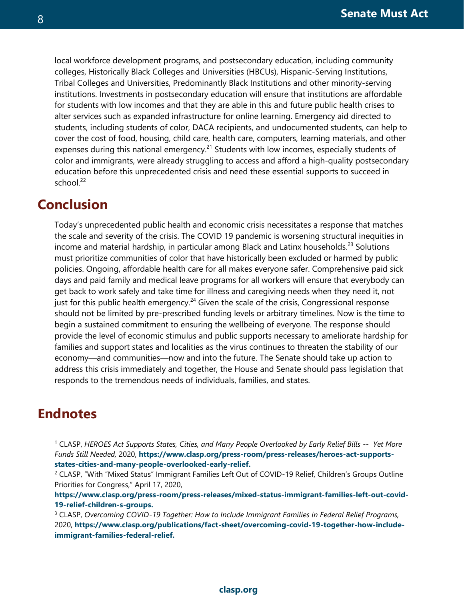local workforce development programs, and postsecondary education, including community colleges, Historically Black Colleges and Universities (HBCUs), Hispanic-Serving Institutions, Tribal Colleges and Universities, Predominantly Black Institutions and other minority-serving institutions. Investments in postsecondary education will ensure that institutions are affordable for students with low incomes and that they are able in this and future public health crises to alter services such as expanded infrastructure for online learning. Emergency aid directed to students, including students of color, DACA recipients, and undocumented students, can help to cover the cost of food, housing, child care, health care, computers, learning materials, and other expenses during this national emergency.<sup>21</sup> Students with low incomes, especially students of color and immigrants, were already struggling to access and afford a high-quality postsecondary education before this unprecedented crisis and need these essential supports to succeed in school $^{22}$ 

### **Conclusion**

Today's unprecedented public health and economic crisis necessitates a response that matches the scale and severity of the crisis. The COVID 19 pandemic is worsening structural inequities in income and material hardship, in particular among Black and Latinx households. $^{23}$  Solutions must prioritize communities of color that have historically been excluded or harmed by public policies. Ongoing, affordable health care for all makes everyone safer. Comprehensive paid sick days and paid family and medical leave programs for all workers will ensure that everybody can get back to work safely and take time for illness and caregiving needs when they need it, not just for this public health emergency.<sup>24</sup> Given the scale of the crisis, Congressional response should not be limited by pre-prescribed funding levels or arbitrary timelines. Now is the time to begin a sustained commitment to ensuring the wellbeing of everyone. The response should provide the level of economic stimulus and public supports necessary to ameliorate hardship for families and support states and localities as the virus continues to threaten the stability of our economy—and communities—now and into the future. The Senate should take up action to address this crisis immediately and together, the House and Senate should pass legislation that responds to the tremendous needs of individuals, families, and states.

## **Endnotes**

<sup>1</sup> CLASP, *HEROES Act Supports States, Cities, and Many People Overlooked by Early Relief Bills -- Yet More Funds Still Needed,* 2020, **[https://www.clasp.org/press-room/press-releases/heroes-act-supports](https://www.clasp.org/press-room/press-releases/heroes-act-supports-states-cities-and-many-people-overlooked-early-relief)[states-cities-and-many-people-overlooked-early-relief.](https://www.clasp.org/press-room/press-releases/heroes-act-supports-states-cities-and-many-people-overlooked-early-relief)**

<sup>2</sup> CLASP, "With "Mixed Status" Immigrant Families Left Out of COVID-19 Relief, Children's Groups Outline Priorities for Congress," April 17, 2020,

**[https://www.clasp.org/press-room/press-releases/mixed-status-immigrant-families-left-out-covid-](https://www.clasp.org/press-room/press-releases/mixed-status-immigrant-families-left-out-covid-19-relief-children-s-groups)[19-relief-children-s-groups.](https://www.clasp.org/press-room/press-releases/mixed-status-immigrant-families-left-out-covid-19-relief-children-s-groups)**

<sup>3</sup> CLASP, *Overcoming COVID-19 Together: How to Include Immigrant Families in Federal Relief Programs,*  2020, **[https://www.clasp.org/publications/fact-sheet/overcoming-covid-19-together-how-include](https://www.clasp.org/publications/fact-sheet/overcoming-covid-19-together-how-include-immigrant-families-federal-relief)[immigrant-families-federal-relief.](https://www.clasp.org/publications/fact-sheet/overcoming-covid-19-together-how-include-immigrant-families-federal-relief)**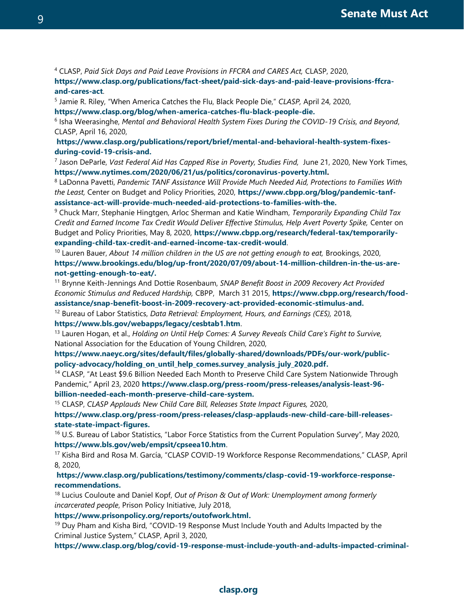<sup>4</sup> CLASP, *Paid Sick Days and Paid Leave Provisions in FFCRA and CARES Act,* CLASP, 2020,

**[https://www.clasp.org/publications/fact-sheet/paid-sick-days-and-paid-leave-provisions-ffcra](https://www.clasp.org/publications/fact-sheet/paid-sick-days-and-paid-leave-provisions-ffcra-and-cares-act)[and-cares-act](https://www.clasp.org/publications/fact-sheet/paid-sick-days-and-paid-leave-provisions-ffcra-and-cares-act)**.

5 Jamie R. Riley, "When America Catches the Flu, Black People Die," *CLASP,* April 24, 2020,

**[https://www.clasp.org/blog/when-america-catches-flu-black-people-die.](https://www.clasp.org/blog/when-america-catches-flu-black-people-die)**

6 Isha Weerasinghe, *Mental and Behavioral Health System Fixes During the COVID-19 Crisis, and Beyond*, CLASP, April 16, 2020,

**[https://www.clasp.org/publications/report/brief/mental-and-behavioral-health-system-fixes](https://www.clasp.org/publications/report/brief/mental-and-behavioral-health-system-fixes-during-covid-19-crisis-and)[during-covid-19-crisis-and.](https://www.clasp.org/publications/report/brief/mental-and-behavioral-health-system-fixes-during-covid-19-crisis-and)**

<sup>7</sup> Jason DeParle, Vast Federal Aid Has Capped Rise in Poverty, Studies Find, June 21, 2020, New York Times, **[https://www.nytimes.com/2020/06/21/us/politics/coronavirus-poverty.html.](https://www.nytimes.com/2020/06/21/us/politics/coronavirus-poverty.html)**

<sup>8</sup> LaDonna Pavetti, *Pandemic TANF Assistance Will Provide Much Needed Aid, Protections to Families With the Least,* Center on Budget and Policy Priorities, 2020, **[https://www.cbpp.org/blog/pandemic-tanf](https://www.cbpp.org/blog/pandemic-tanf-assistance-act-will-provide-much-needed-aid-protections-to-families-with-the)[assistance-act-will-provide-much-needed-aid-protections-to-families-with-the.](https://www.cbpp.org/blog/pandemic-tanf-assistance-act-will-provide-much-needed-aid-protections-to-families-with-the)**

<sup>9</sup> Chuck Marr, Stephanie Hingtgen, Arloc Sherman and Katie Windham, *Temporarily Expanding Child Tax Credit and Earned Income Tax Credit Would Deliver Effective Stimulus, Help Avert Poverty Spike,* Center on Budget and Policy Priorities, May 8, 2020, **[https://www.cbpp.org/research/federal-tax/temporarily](https://www.cbpp.org/research/federal-tax/temporarily-expanding-child-tax-credit-and-earned-income-tax-credit-would)[expanding-child-tax-credit-and-earned-income-tax-credit-would](https://www.cbpp.org/research/federal-tax/temporarily-expanding-child-tax-credit-and-earned-income-tax-credit-would)**.

<sup>10</sup> Lauren Bauer, *About 14 million children in the US are not getting enough to eat, Brookings, 2020,* **[https://www.brookings.edu/blog/up-front/2020/07/09/about-14-million-children-in-the-us-are](https://www.brookings.edu/blog/up-front/2020/07/09/about-14-million-children-in-the-us-are-not-getting-enough-to-eat/)[not-getting-enough-to-eat/.](https://www.brookings.edu/blog/up-front/2020/07/09/about-14-million-children-in-the-us-are-not-getting-enough-to-eat/)**

<sup>11</sup> Brynne Keith-Jennings And Dottie Rosenbaum, *SNAP Benefit Boost in 2009 Recovery Act Provided Economic Stimulus and Reduced Hardship,* CBPP, March 31 2015, **[https://www.cbpp.org/research/food](https://www.cbpp.org/research/food-assistance/snap-benefit-boost-in-2009-recovery-act-provided-economic-stimulus-and)[assistance/snap-benefit-boost-in-2009-recovery-act-provided-economic-stimulus-and.](https://www.cbpp.org/research/food-assistance/snap-benefit-boost-in-2009-recovery-act-provided-economic-stimulus-and)** 

<sup>12</sup> Bureau of Labor Statistics, *Data Retrieval: Employment, Hours, and Earnings (CES),* 2018, **<https://www.bls.gov/webapps/legacy/cesbtab1.htm>**.

<sup>13</sup> Lauren Hogan, et al., *Holding on Until Help Comes: A Survey Reveals Child Care's Fight to Survive,*  National Association for the Education of Young Children, 2020,

**[https://www.naeyc.org/sites/default/files/globally-shared/downloads/PDFs/our-work/public](https://www.naeyc.org/sites/default/files/globally-shared/downloads/PDFs/our-work/public-policy-advocacy/holding_on_until_help_comes.survey_analysis_july_2020.pdf)[policy-advocacy/holding\\_on\\_until\\_help\\_comes.survey\\_analysis\\_july\\_2020.pdf.](https://www.naeyc.org/sites/default/files/globally-shared/downloads/PDFs/our-work/public-policy-advocacy/holding_on_until_help_comes.survey_analysis_july_2020.pdf)**

<sup>14</sup> CLASP, "At Least \$9.6 Billion Needed Each Month to Preserve Child Care System Nationwide Through Pandemic," April 23, 2020 **[https://www.clasp.org/press-room/press-releases/analysis-least-96](https://www.clasp.org/press-room/press-releases/analysis-least-96-billion-needed-each-month-preserve-child-care-system) [billion-needed-each-month-preserve-child-care-system.](https://www.clasp.org/press-room/press-releases/analysis-least-96-billion-needed-each-month-preserve-child-care-system)**

<sup>15</sup> CLASP, *CLASP Applauds New Child Care Bill, Releases State Impact Figures,* 2020,

**[https://www.clasp.org/press-room/press-releases/clasp-applauds-new-child-care-bill-releases](https://www.clasp.org/press-room/press-releases/clasp-applauds-new-child-care-bill-releases-state-state-impact-figures)[state-state-impact-figures.](https://www.clasp.org/press-room/press-releases/clasp-applauds-new-child-care-bill-releases-state-state-impact-figures)**

<sup>16</sup> U.S. Bureau of Labor Statistics, "Labor Force Statistics from the Current Population Survey", May 2020, **<https://www.bls.gov/web/empsit/cpseea10.htm>**.

<sup>17</sup> Kisha Bird and Rosa M. García, "CLASP COVID-19 Workforce Response Recommendations," CLASP, April 8, 2020,

**[https://www.clasp.org/publications/testimony/comments/clasp-covid-19-workforce-response](https://www.clasp.org/publications/testimony/comments/clasp-covid-19-workforce-response-recommendations)[recommendations.](https://www.clasp.org/publications/testimony/comments/clasp-covid-19-workforce-response-recommendations)**

<sup>18</sup> Lucius Couloute and Daniel Kopf, *Out of Prison & Out of Work: Unemployment among formerly incarcerated people*, Prison Policy Initiative, July 2018,

**[https://www.prisonpolicy.org/reports/outofwork.html.](https://www.prisonpolicy.org/reports/outofwork.html)**

<sup>19</sup> Duy Pham and Kisha Bird, "COVID-19 Response Must Include Youth and Adults Impacted by the Criminal Justice System," CLASP, April 3, 2020,

**[https://www.clasp.org/blog/covid-19-response-must-include-youth-and-adults-impacted-criminal-](https://www.clasp.org/blog/covid-19-response-must-include-youth-and-adults-impacted-criminal-justice-system)**